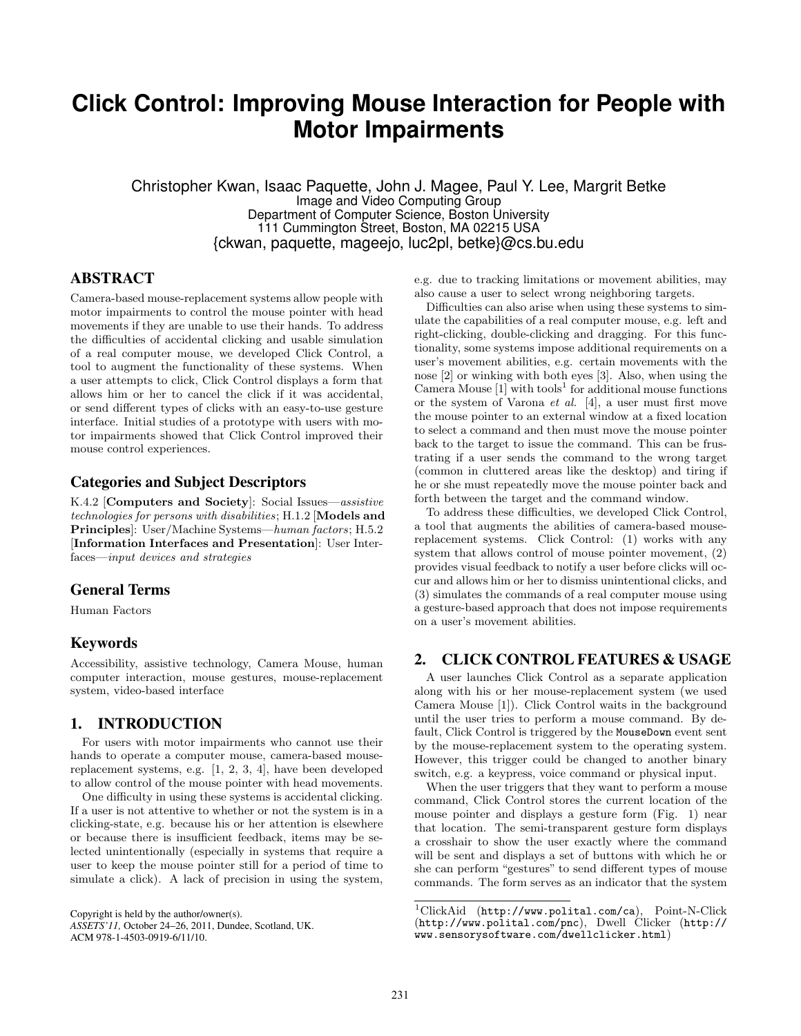# **Click Control: Improving Mouse Interaction for People with Motor Impairments**

Christopher Kwan, Isaac Paquette, John J. Magee, Paul Y. Lee, Margrit Betke Image and Video Computing Group Department of Computer Science, Boston University 111 Cummington Street, Boston, MA 02215 USA {ckwan, paquette, mageejo, luc2pl, betke}@cs.bu.edu

#### **ABSTRACT**

Camera-based mouse-replacement systems allow people with motor impairments to control the mouse pointer with head movements if they are unable to use their hands. To address the difficulties of accidental clicking and usable simulation of a real computer mouse, we developed Click Control, a tool to augment the functionality of these systems. When a user attempts to click, Click Control displays a form that allows him or her to cancel the click if it was accidental, or send different types of clicks with an easy-to-use gesture interface. Initial studies of a prototype with users with motor impairments showed that Click Control improved their mouse control experiences.

## **Categories and Subject Descriptors**

K.4.2 [Computers and Society]: Social Issues—assistive technologies for persons with disabilities; H.1.2 [Models and Principles]: User/Machine Systems—human factors; H.5.2 [Information Interfaces and Presentation]: User Interfaces—input devices and strategies

## **General Terms**

Human Factors

# **Keywords**

Accessibility, assistive technology, Camera Mouse, human computer interaction, mouse gestures, mouse-replacement system, video-based interface

## **1. INTRODUCTION**

For users with motor impairments who cannot use their hands to operate a computer mouse, camera-based mousereplacement systems, e.g. [1, 2, 3, 4], have been developed to allow control of the mouse pointer with head movements.

One difficulty in using these systems is accidental clicking. If a user is not attentive to whether or not the system is in a clicking-state, e.g. because his or her attention is elsewhere or because there is insufficient feedback, items may be selected unintentionally (especially in systems that require a user to keep the mouse pointer still for a period of time to simulate a click). A lack of precision in using the system,

e.g. due to tracking limitations or movement abilities, may also cause a user to select wrong neighboring targets.

Difficulties can also arise when using these systems to simulate the capabilities of a real computer mouse, e.g. left and right-clicking, double-clicking and dragging. For this functionality, some systems impose additional requirements on a user's movement abilities, e.g. certain movements with the nose [2] or winking with both eyes [3]. Also, when using the Camera Mouse  $[1]$  with tools<sup>1</sup> for additional mouse functions or the system of Varona et al. [4], a user must first move the mouse pointer to an external window at a fixed location to select a command and then must move the mouse pointer back to the target to issue the command. This can be frustrating if a user sends the command to the wrong target (common in cluttered areas like the desktop) and tiring if he or she must repeatedly move the mouse pointer back and forth between the target and the command window.

To address these difficulties, we developed Click Control, a tool that augments the abilities of camera-based mousereplacement systems. Click Control: (1) works with any system that allows control of mouse pointer movement, (2) provides visual feedback to notify a user before clicks will occur and allows him or her to dismiss unintentional clicks, and (3) simulates the commands of a real computer mouse using a gesture-based approach that does not impose requirements on a user's movement abilities.

## **2. CLICK CONTROL FEATURES & USAGE**

A user launches Click Control as a separate application along with his or her mouse-replacement system (we used Camera Mouse [1]). Click Control waits in the background until the user tries to perform a mouse command. By default, Click Control is triggered by the MouseDown event sent by the mouse-replacement system to the operating system. However, this trigger could be changed to another binary switch, e.g. a keypress, voice command or physical input.

When the user triggers that they want to perform a mouse command, Click Control stores the current location of the mouse pointer and displays a gesture form (Fig. 1) near that location. The semi-transparent gesture form displays a crosshair to show the user exactly where the command will be sent and displays a set of buttons with which he or she can perform "gestures" to send different types of mouse commands. The form serves as an indicator that the system

Copyright is held by the author/owner(s).  $1$ ClickAid (http://www.polital.com/ca), Point-N-Click<br>
ASSETS'11, October 24-26, 2011, Dundee, Scotland, UK. (http://www.polital.com/pnc), Dwell Clicker (http:// *ASSETS'11, October 24–26, 2011, Dundee, Scotland, UK.* (http://www.polital.com/pnc), Dwell Clicker (http://<br>ACM 978-1-4503-0919-6/11/10<br>MWW.sensorysoftware.com/dwellclicker.html) www.sensorysoftware.com/dwellclicker.html)